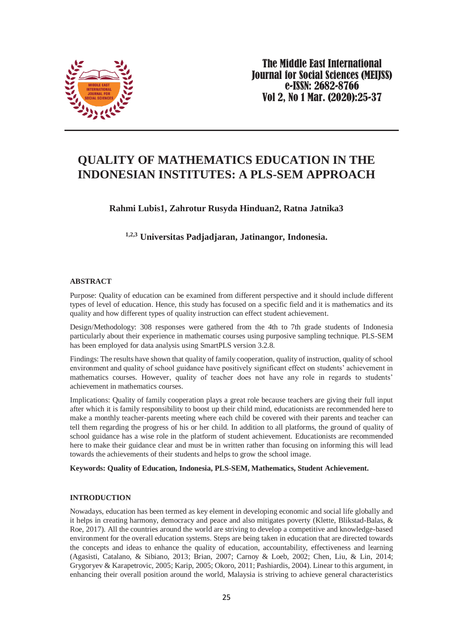

# **QUALITY OF MATHEMATICS EDUCATION IN THE INDONESIAN INSTITUTES: A PLS-SEM APPROACH**

# **Rahmi Lubis1, Zahrotur Rusyda Hinduan2, Ratna Jatnika3**

# **1,2,3 Universitas Padjadjaran, Jatinangor, Indonesia.**

## **ABSTRACT**

Purpose: Quality of education can be examined from different perspective and it should include different types of level of education. Hence, this study has focused on a specific field and it is mathematics and its quality and how different types of quality instruction can effect student achievement.

Design/Methodology: 308 responses were gathered from the 4th to 7th grade students of Indonesia particularly about their experience in mathematic courses using purposive sampling technique. PLS-SEM has been employed for data analysis using SmartPLS version 3.2.8.

Findings: The results have shown that quality of family cooperation, quality of instruction, quality of school environment and quality of school guidance have positively significant effect on students' achievement in mathematics courses. However, quality of teacher does not have any role in regards to students' achievement in mathematics courses.

Implications: Quality of family cooperation plays a great role because teachers are giving their full input after which it is family responsibility to boost up their child mind, educationists are recommended here to make a monthly teacher-parents meeting where each child be covered with their parents and teacher can tell them regarding the progress of his or her child. In addition to all platforms, the ground of quality of school guidance has a wise role in the platform of student achievement. Educationists are recommended here to make their guidance clear and must be in written rather than focusing on informing this will lead towards the achievements of their students and helps to grow the school image.

# **Keywords: Quality of Education, Indonesia, PLS-SEM, Mathematics, Student Achievement.**

# **INTRODUCTION**

Nowadays, education has been termed as key element in developing economic and social life globally and it helps in creating harmony, democracy and peace and also mitigates poverty [\(Klette, Blikstad-Balas, &](#page-10-0)  [Roe, 2017\)](#page-10-0). All the countries around the world are striving to develop a competitive and knowledge-based environment for the overall education systems. Steps are being taken in education that are directed towards the concepts and ideas to enhance the quality of education, accountability, effectiveness and learning [\(Agasisti, Catalano, & Sibiano, 2013;](#page-8-0) [Brian, 2007;](#page-9-0) [Carnoy & Loeb, 2002;](#page-9-1) [Chen, Liu, & Lin, 2014;](#page-9-2) [Grygoryev & Karapetrovic, 2005;](#page-10-1) [Karip, 2005;](#page-10-2) [Okoro, 2011;](#page-11-0) [Pashiardis, 2004\)](#page-11-1). Linear to this argument, in enhancing their overall position around the world, Malaysia is striving to achieve general characteristics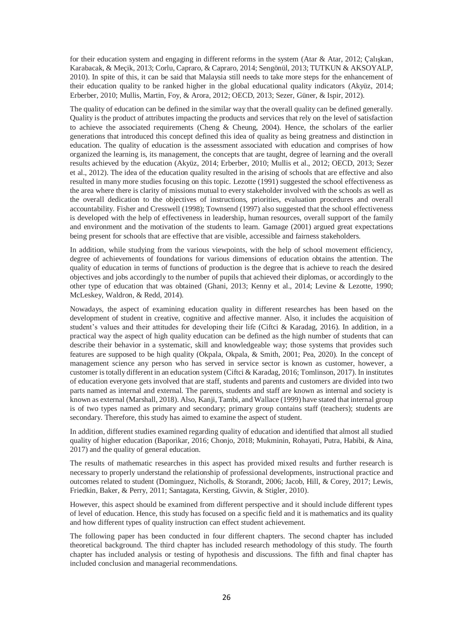for their education system and engaging in different reforms in the system [\(Atar & Atar, 2012;](#page-9-3) [Çalışkan,](#page-9-4)  [Karabacak, & Meçik, 2013;](#page-9-4) [Corlu, Capraro, & Capraro, 2014;](#page-9-5) [Sengönül, 2013;](#page-11-2) [TUTKUN & AKSOYALP,](#page-12-0)  [2010\)](#page-12-0). In spite of this, it can be said that Malaysia still needs to take more steps for the enhancement of their education quality to be ranked higher in the global educational quality indicators [\(Akyüz, 2014;](#page-9-6) [Erberber, 2010;](#page-9-7) [Mullis, Martin, Foy, & Arora, 2012;](#page-11-3) [OECD, 2013;](#page-11-4) [Sezer, Güner, & Ispir, 2012\)](#page-11-5).

The quality of education can be defined in the similar way that the overall quality can be defined generally. Quality is the product of attributes impacting the products and services that rely on the level of satisfaction to achieve the associated requirements [\(Cheng & Cheung, 2004\)](#page-9-8). Hence, the scholars of the earlier generations that introduced this concept defined this idea of quality as being greatness and distinction in education. The quality of education is the assessment associated with education and comprises of how organized the learning is, its management, the concepts that are taught, degree of learning and the overall results achieved by the education [\(Akyüz, 2014;](#page-9-6) [Erberber, 2010;](#page-9-7) [Mullis et al., 2012;](#page-11-3) [OECD, 2013;](#page-11-4) [Sezer](#page-11-5)  [et al., 2012\)](#page-11-5). The idea of the education quality resulted in the arising of schools that are effective and also resulted in many more studies focusing on this topic. [Lezotte \(1991\)](#page-10-3) suggested the school effectiveness as the area where there is clarity of missions mutual to every stakeholder involved with the schools as well as the overall dedication to the objectives of instructions, priorities, evaluation procedures and overall accountability. [Fisher and Cresswell \(1998\)](#page-10-4); [Townsend \(1997\)](#page-12-1) also suggested that the school effectiveness is developed with the help of effectiveness in leadership, human resources, overall support of the family and environment and the motivation of the students to learn. [Gamage \(2001\)](#page-10-5) argued great expectations being present for schools that are effective that are visible, accessible and fairness stakeholders.

In addition, while studying from the various viewpoints, with the help of school movement efficiency, degree of achievements of foundations for various dimensions of education obtains the attention. The quality of education in terms of functions of production is the degree that is achieve to reach the desired objectives and jobs accordingly to the number of pupils that achieved their diplomas, or accordingly to the other type of education that was obtained [\(Ghani, 2013;](#page-10-6) [Kenny et al., 2014;](#page-10-7) [Levine & Lezotte, 1990;](#page-10-8) [McLeskey, Waldron, & Redd, 2014\)](#page-10-9).

Nowadays, the aspect of examining education quality in different researches has been based on the development of student in creative, cognitive and affective manner. Also, it includes the acquisition of student's values and their attitudes for developing their life [\(Ciftci & Karadag, 2016\)](#page-9-9). In addition, in a practical way the aspect of high quality education can be defined as the high number of students that can describe their behavior in a systematic, skill and knowledgeable way; those systems that provides such features are supposed to be high quality [\(Okpala, Okpala, & Smith, 2001;](#page-11-6) [Pea, 2020\)](#page-11-7). In the concept of management science any person who has served in service sector is known as customer, however, a customer is totally different in an education system [\(Ciftci & Karadag, 2016;](#page-9-9) [Tomlinson, 2017\)](#page-12-2). In institutes of education everyone gets involved that are staff, students and parents and customers are divided into two parts named as internal and external. The parents, students and staff are known as internal and society is known as external [\(Marshall, 2018\)](#page-10-10). Also[, Kanji, Tambi, and Wallace \(1999\)](#page-10-11) have stated that internal group is of two types named as primary and secondary; primary group contains staff (teachers); students are secondary. Therefore, this study has aimed to examine the aspect of student.

In addition, different studies examined regarding quality of education and identified that almost all studied quality of higher education [\(Baporikar, 2016;](#page-9-10) [Chonjo, 2018;](#page-9-11) [Mukminin, Rohayati, Putra, Habibi, & Aina,](#page-10-12)  [2017\)](#page-10-12) and the quality of general education.

The results of mathematic researches in this aspect has provided mixed results and further research is necessary to properly understand the relationship of professional developments, instructional practice and outcomes related to student [\(Dominguez, Nicholls, & Storandt, 2006;](#page-9-12) [Jacob, Hill, & Corey, 2017;](#page-10-13) [Lewis,](#page-10-14)  [Friedkin, Baker,](#page-10-14) & Perry, 2011; [Santagata, Kersting, Givvin, & Stigler, 2010\)](#page-11-8).

However, this aspect should be examined from different perspective and it should include different types of level of education. Hence, this study has focused on a specific field and it is mathematics and its quality and how different types of quality instruction can effect student achievement.

The following paper has been conducted in four different chapters. The second chapter has included theoretical background. The third chapter has included research methodology of this study. The fourth chapter has included analysis or testing of hypothesis and discussions. The fifth and final chapter has included conclusion and managerial recommendations.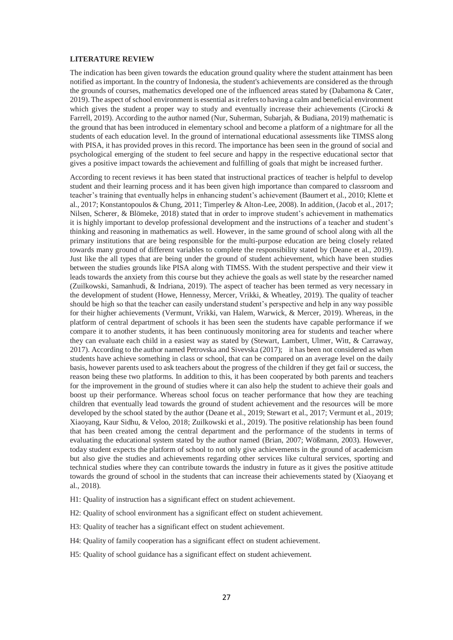#### **LITERATURE REVIEW**

The indication has been given towards the education ground quality where the student attainment has been notified as important. In the country of Indonesia, the student's achievements are considered as the through the grounds of courses, mathematics developed one of the influenced areas stated by [\(Dabamona & Cater,](#page-9-13)  [2019\)](#page-9-13). The aspect of school environment is essential as it refers to having a calm and beneficial environment which gives the student a proper way to study and eventually increase their achievements (Cirocki & [Farrell, 2019\)](#page-9-14). According to the author named (Nur, [Suherman, Subarjah, & Budiana, 2019\)](#page-11-9) mathematic is the ground that has been introduced in elementary school and become a platform of a nightmare for all the students of each education level. In the ground of international educational assessments like TIMSS along with PISA, it has provided proves in this record. The importance has been seen in the ground of social and psychological emerging of the student to feel secure and happy in the respective educational sector that gives a positive impact towards the achievement and fulfilling of goals that might be increased further.

According to recent reviews it has been stated that instructional practices of teacher is helpful to develop student and their learning process and it has been given high importance than compared to classroom and teacher's training that eventually helps in enhancing student's achievement [\(Baumert et al., 2010;](#page-9-15) [Klette et](#page-10-0)  [al., 2017;](#page-10-0) [Konstantopoulos & Chung, 2011;](#page-10-15) [Timperley & Alton-Lee, 2008\)](#page-11-10). In addition, [\(Jacob et al., 2017;](#page-10-13) [Nilsen, Scherer, & Blömeke, 2018\)](#page-11-11) stated that in order to improve student's achievement in mathematics it is highly important to develop professional development and the instructions of a teacher and student's thinking and reasoning in mathematics as well. However, in the same ground of school along with all the primary institutions that are being responsible for the multi-purpose education are being closely related towards many ground of different variables to complete the responsibility stated by [\(Deane et al., 2019\)](#page-9-16). Just like the all types that are being under the ground of student achievement, which have been studies between the studies grounds like PISA along with TIMSS. With the student perspective and their view it leads towards the anxiety from this course but they achieve the goals as well state by the researcher named [\(Zuilkowski, Samanhudi, & Indriana, 2019\)](#page-12-3). The aspect of teacher has been termed as very necessary in the development of student [\(Howe, Hennessy, Mercer, Vrikki, & Wheatley, 2019\)](#page-10-16). The quality of teacher should be high so that the teacher can easily understand student's perspective and help in any way possible for their higher achievements [\(Vermunt, Vrikki, van Halem, Warwick, & Mercer, 2019\)](#page-12-4). Whereas, in the platform of central department of schools it has been seen the students have capable performance if we compare it to another students, it has been continuously monitoring area for students and teacher where they can evaluate each child in a easiest way as stated by [\(Stewart, Lambert, Ulmer, Witt, & Carraway,](#page-11-12)  [2017\)](#page-11-12). According to the author name[d Petrovska and Sivevska \(2017\)](#page-11-13); it has been not considered as when students have achieve something in class or school, that can be compared on an average level on the daily basis, however parents used to ask teachers about the progress of the children if they get fail or success, the reason being these two platforms. In addition to this, it has been cooperated by both parents and teachers for the improvement in the ground of studies where it can also help the student to achieve their goals and boost up their performance. Whereas school focus on teacher performance that how they are teaching children that eventually lead towards the ground of student achievement and the resources will be more developed by the school stated by the author [\(Deane et al., 2019;](#page-9-16) [Stewart et al., 2017;](#page-11-12) [Vermunt et al., 2019;](#page-12-4) [Xiaoyang, Kaur Sidhu, & Veloo, 2018;](#page-12-5) [Zuilkowski et al., 2019\)](#page-12-3). The positive relationship has been found that has been created among the central department and the performance of the students in terms of evaluating the educational system stated by the author named [\(Brian, 2007;](#page-9-0) [Wößmann, 2003\)](#page-12-6). However, today student expects the platform of school to not only give achievements in the ground of academicism but also give the studies and achievements regarding other services like cultural services, sporting and technical studies where they can contribute towards the industry in future as it gives the positive attitude towards the ground of school in the students that can increase their achievements stated by [\(Xiaoyang et](#page-12-5)  [al., 2018\)](#page-12-5).

H1: Quality of instruction has a significant effect on student achievement.

- H2: Quality of school environment has a significant effect on student achievement.
- H3: Quality of teacher has a significant effect on student achievement.
- H4: Quality of family cooperation has a significant effect on student achievement.
- H5: Quality of school guidance has a significant effect on student achievement.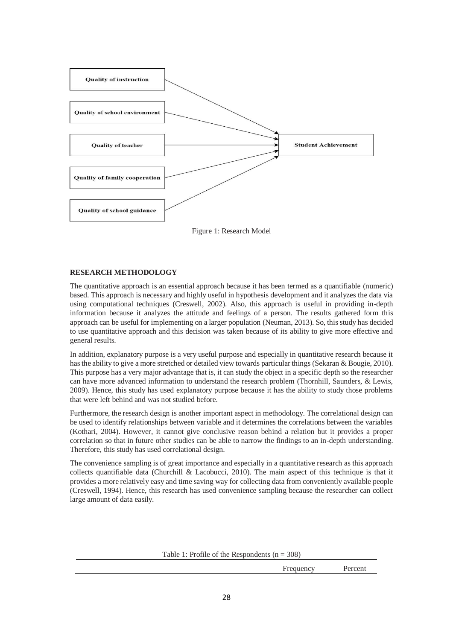

Figure 1: Research Model

## **RESEARCH METHODOLOGY**

The quantitative approach is an essential approach because it has been termed as a quantifiable (numeric) based. This approach is necessary and highly useful in hypothesis development and it analyzes the data via using computational techniques [\(Creswell, 2002\)](#page-9-17). Also, this approach is useful in providing in-depth information because it analyzes the attitude and feelings of a person. The results gathered form this approach can be useful for implementing on a larger population [\(Neuman, 2013\)](#page-11-14). So, this study has decided to use quantitative approach and this decision was taken because of its ability to give more effective and general results.

In addition, explanatory purpose is a very useful purpose and especially in quantitative research because it has the ability to give a more stretched or detailed view towards particular things [\(Sekaran & Bougie, 2010\)](#page-11-15). This purpose has a very major advantage that is, it can study the object in a specific depth so the researcher can have more advanced information to understand the research problem [\(Thornhill, Saunders, & Lewis,](#page-11-16)  [2009\)](#page-11-16). Hence, this study has used explanatory purpose because it has the ability to study those problems that were left behind and was not studied before.

Furthermore, the research design is another important aspect in methodology. The correlational design can be used to identify relationships between variable and it determines the correlations between the variables [\(Kothari, 2004\)](#page-10-17). However, it cannot give conclusive reason behind a relation but it provides a proper correlation so that in future other studies can be able to narrow the findings to an in-depth understanding. Therefore, this study has used correlational design.

The convenience sampling is of great importance and especially in a quantitative research as this approach collects quantifiable data [\(Churchill & Lacobucci, 2010\)](#page-9-18). The main aspect of this technique is that it provides a more relatively easy and time saving way for collecting data from conveniently available people [\(Creswell, 1994\)](#page-9-19). Hence, this research has used convenience sampling because the researcher can collect large amount of data easily.

Table 1: Profile of the Respondents ( $n = 308$ )

Frequency Percent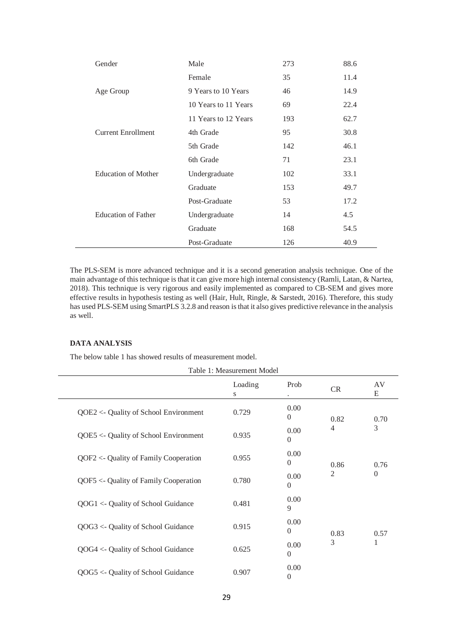| Gender                     | Male                 | 273 | 88.6 |
|----------------------------|----------------------|-----|------|
|                            | Female               | 35  | 11.4 |
| Age Group                  | 9 Years to 10 Years  | 46  | 14.9 |
|                            | 10 Years to 11 Years | 69  | 22.4 |
|                            | 11 Years to 12 Years | 193 | 62.7 |
| <b>Current Enrollment</b>  | 4th Grade            | 95  | 30.8 |
|                            | 5th Grade            | 142 | 46.1 |
|                            | 6th Grade            | 71  | 23.1 |
| <b>Education of Mother</b> | Undergraduate        | 102 | 33.1 |
|                            | Graduate             | 153 | 49.7 |
|                            | Post-Graduate        | 53  | 17.2 |
| <b>Education of Father</b> | Undergraduate        | 14  | 4.5  |
|                            | Graduate             | 168 | 54.5 |
|                            | Post-Graduate        | 126 | 40.9 |

The PLS-SEM is more advanced technique and it is a second generation analysis technique. One of the main advantage of this technique is that it can give more high internal consistency [\(Ramli, Latan, & Nartea,](#page-11-17)  [2018\)](#page-11-17). This technique is very rigorous and easily implemented as compared to CB-SEM and gives more effective results in hypothesis testing as well [\(Hair, Hult, Ringle, & Sarstedt, 2016\)](#page-10-18). Therefore, this study has used PLS-SEM using SmartPLS 3.2.8 and reason is that it also gives predictive relevance in the analysis as well.

### **DATA ANALYSIS**

The below table 1 has showed results of measurement model.

|                                        | Table 1: Measurement Model |                        |                |                |
|----------------------------------------|----------------------------|------------------------|----------------|----------------|
|                                        | Loading<br>S               | Prob                   | <b>CR</b>      | AV<br>E        |
| $QOE2 < Quality$ of School Environment | 0.729                      | 0.00<br>$\theta$       | 0.82           | 0.70           |
| QOE5 <- Quality of School Environment  | 0.935                      | 0.00<br>$\theta$       | $\overline{4}$ | 3              |
| QOF2 <- Quality of Family Cooperation  | 0.955                      | 0.00<br>$\theta$       | 0.86           | 0.76           |
| QOF5 <- Quality of Family Cooperation  | 0.780                      | 0.00<br>$\theta$       | 2              | $\overline{0}$ |
| QOG1 <- Quality of School Guidance     | 0.481                      | 0.00<br>9              |                |                |
| QOG3 <- Quality of School Guidance     | 0.915                      | 0.00<br>$\theta$       | 0.83           | 0.57           |
| QOG4 <- Quality of School Guidance     | 0.625                      | 0.00<br>$\overline{0}$ | 3              | 1              |
| QOG5 <- Quality of School Guidance     | 0.907                      | 0.00<br>$\theta$       |                |                |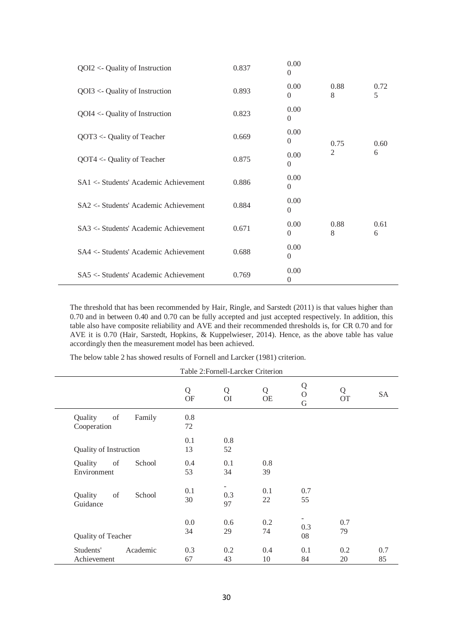| $QOI2 \leftarrow$ Quality of Instruction | 0.837 | 0.00<br>$\theta$       |                |           |
|------------------------------------------|-------|------------------------|----------------|-----------|
| $QOI3 \leftarrow$ Quality of Instruction | 0.893 | 0.00<br>$\overline{0}$ | 0.88<br>8      | 0.72<br>5 |
| $QOI4 \leftarrow$ Quality of Instruction | 0.823 | 0.00<br>$\Omega$       |                |           |
| QOT3 <- Quality of Teacher               | 0.669 | 0.00<br>$\Omega$       | 0.75           | 0.60      |
| $QOT4 < Quality$ of Teacher              | 0.875 | 0.00<br>$\theta$       | $\overline{2}$ | 6         |
| SA1 <- Students' Academic Achievement    | 0.886 | 0.00<br>$\overline{0}$ |                |           |
| SA2 <- Students' Academic Achievement    | 0.884 | 0.00<br>$\theta$       |                |           |
| SA3 <- Students' Academic Achievement    | 0.671 | 0.00<br>$\Omega$       | 0.88<br>8      | 0.61<br>6 |
| SA4 <- Students' Academic Achievement    | 0.688 | 0.00<br>$\Omega$       |                |           |
| SA5 <- Students' Academic Achievement    | 0.769 | 0.00<br>$\theta$       |                |           |

The threshold that has been recommended by [Hair, Ringle, and Sarstedt \(2011\)](#page-10-19) is that values higher than 0.70 and in between 0.40 and 0.70 can be fully accepted and just accepted respectively. In addition, this table also have composite reliability and AVE and their recommended thresholds is, for CR 0.70 and for AVE it is 0.70 [\(Hair, Sarstedt, Hopkins, & Kuppelwieser, 2014\)](#page-10-20). Hence, as the above table has value accordingly then the measurement model has been achieved.

| The below table 2 has showed results of Fornell and Larcker (1981) criterion. |  |
|-------------------------------------------------------------------------------|--|
|-------------------------------------------------------------------------------|--|

|                                        | Table 2: Fornell-Larcker Criterion |                     |                |                    |                |           |
|----------------------------------------|------------------------------------|---------------------|----------------|--------------------|----------------|-----------|
|                                        | Q<br><b>OF</b>                     | Q<br>O <sub>I</sub> | Q<br><b>OE</b> | Q<br>$\Omega$<br>G | Q<br><b>OT</b> | <b>SA</b> |
| Quality<br>of<br>Family<br>Cooperation | 0.8<br>72                          |                     |                |                    |                |           |
| <b>Quality of Instruction</b>          | 0.1<br>13                          | 0.8<br>52           |                |                    |                |           |
| Quality<br>of<br>School<br>Environment | 0.4<br>53                          | 0.1<br>34           | 0.8<br>39      |                    |                |           |
| of<br>School<br>Quality<br>Guidance    | 0.1<br>30                          | 0.3<br>97           | 0.1<br>22      | 0.7<br>55          |                |           |
| Quality of Teacher                     | 0.0<br>34                          | 0.6<br>29           | 0.2<br>74      | -<br>0.3<br>08     | 0.7<br>79      |           |
| Students'<br>Academic<br>Achievement   | 0.3<br>67                          | 0.2<br>43           | 0.4<br>10      | 0.1<br>84          | 0.2<br>20      | 0.7<br>85 |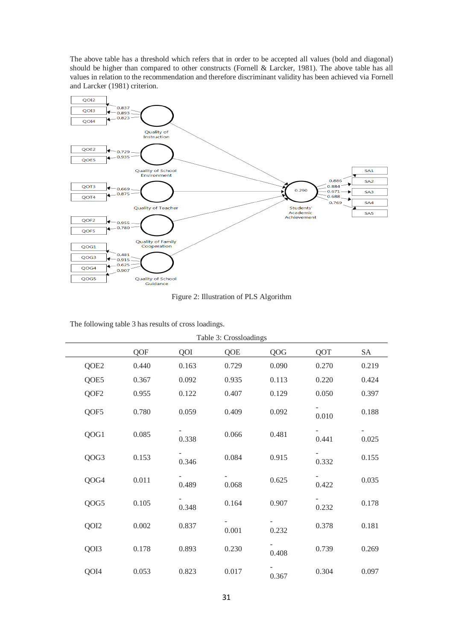The above table has a threshold which refers that in order to be accepted all values (bold and diagonal) should be higher than compared to other constructs [\(Fornell & Larcker, 1981\)](#page-10-21). The above table has all values in relation to the recommendation and therefore discriminant validity has been achieved via [Fornell](#page-10-21)  [and Larcker \(1981\)](#page-10-21) criterion.



Figure 2: Illustration of PLS Algorithm

| Table 3: Crossloadings |                  |       |       |       |       |       |       |
|------------------------|------------------|-------|-------|-------|-------|-------|-------|
|                        |                  | QOF   | QOI   | QOE   | QOG   | QOT   | SA    |
|                        | QOE2             | 0.440 | 0.163 | 0.729 | 0.090 | 0.270 | 0.219 |
|                        | QOE5             | 0.367 | 0.092 | 0.935 | 0.113 | 0.220 | 0.424 |
|                        | QOF <sub>2</sub> | 0.955 | 0.122 | 0.407 | 0.129 | 0.050 | 0.397 |
|                        | QOF5             | 0.780 | 0.059 | 0.409 | 0.092 | 0.010 | 0.188 |
|                        | QOG1             | 0.085 | 0.338 | 0.066 | 0.481 | 0.441 | 0.025 |
|                        | QOG3             | 0.153 | 0.346 | 0.084 | 0.915 | 0.332 | 0.155 |
|                        | QOG4             | 0.011 | 0.489 | 0.068 | 0.625 | 0.422 | 0.035 |
|                        | QOG5             | 0.105 | 0.348 | 0.164 | 0.907 | 0.232 | 0.178 |
|                        | QOI2             | 0.002 | 0.837 | 0.001 | 0.232 | 0.378 | 0.181 |
|                        | QOI3             | 0.178 | 0.893 | 0.230 | 0.408 | 0.739 | 0.269 |
|                        | QOI4             | 0.053 | 0.823 | 0.017 | 0.367 | 0.304 | 0.097 |

The following table 3 has results of cross loadings.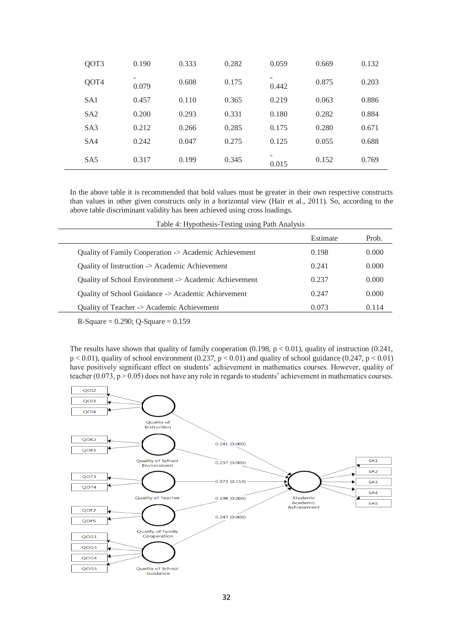| QOT3            | 0.190      | 0.333 | 0.282 | 0.059 | 0.669 | 0.132 |
|-----------------|------------|-------|-------|-------|-------|-------|
| QOT4            | -<br>0.079 | 0.608 | 0.175 | 0.442 | 0.875 | 0.203 |
| SA <sub>1</sub> | 0.457      | 0.110 | 0.365 | 0.219 | 0.063 | 0.886 |
| SA2             | 0.200      | 0.293 | 0.331 | 0.180 | 0.282 | 0.884 |
| S <sub>A3</sub> | 0.212      | 0.266 | 0.285 | 0.175 | 0.280 | 0.671 |
| SA4             | 0.242      | 0.047 | 0.275 | 0.125 | 0.055 | 0.688 |
| SA <sub>5</sub> | 0.317      | 0.199 | 0.345 | 0.015 | 0.152 | 0.769 |

In the above table it is recommended that bold values must be greater in their own respective constructs than values in other given constructs only in a horizontal view [\(Hair et al., 2011\)](#page-10-19). So, according to the above table discriminant validity has been achieved using cross loadings.

|                                                       | Estimate | Prob. |
|-------------------------------------------------------|----------|-------|
| Quality of Family Cooperation -> Academic Achievement | 0.198    | 0.000 |
| Quality of Instruction -> Academic Achievement        | 0.241    | 0.000 |
| Quality of School Environment -> Academic Achievement | 0.237    | 0.000 |
| Quality of School Guidance -> Academic Achievement    | 0.247    | 0.000 |
| Quality of Teacher -> Academic Achievement            | 0.073    | 0.114 |
|                                                       |          |       |

 $R-Square = 0.290$ ;  $Q-Square = 0.159$ 

 $\overline{a}$ 

The results have shown that quality of family cooperation (0.198,  $p < 0.01$ ), quality of instruction (0.241,  $p < 0.01$ ), quality of school environment (0.237,  $p < 0.01$ ) and quality of school guidance (0.247,  $p < 0.01$ ) have positively significant effect on students' achievement in mathematics courses. However, quality of teacher  $(0.073, p > 0.05)$  does not have any role in regards to students' achievement in mathematics courses.

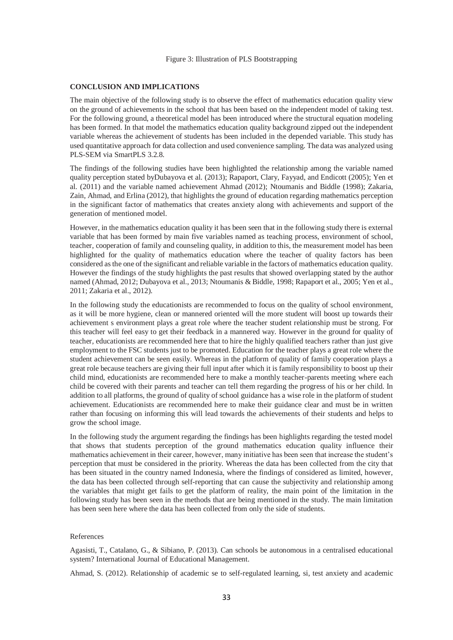#### **CONCLUSION AND IMPLICATIONS**

The main objective of the following study is to observe the effect of mathematics education quality view on the ground of achievements in the school that has been based on the independent model of taking test. For the following ground, a theoretical model has been introduced where the structural equation modeling has been formed. In that model the mathematics education quality background zipped out the independent variable whereas the achievement of students has been included in the depended variable. This study has used quantitative approach for data collection and used convenience sampling. The data was analyzed using PLS-SEM via SmartPLS 3.2.8.

The findings of the following studies have been highlighted the relationship among the variable named quality perception stated b[yDubayova et al. \(2013\)](#page-9-20); [Rapaport, Clary, Fayyad, and Endicott \(2005\)](#page-11-18); [Yen et](#page-12-7)  [al. \(2011\)](#page-12-7) and the variable named achievement [Ahmad \(2012\)](#page-8-1); [Ntoumanis and Biddle \(1998\)](#page-11-19); [Zakaria,](#page-12-8)  [Zain, Ahmad, and Erlina \(2012\)](#page-12-8), that highlights the ground of education regarding mathematics perception in the significant factor of mathematics that creates anxiety along with achievements and support of the generation of mentioned model.

However, in the mathematics education quality it has been seen that in the following study there is external variable that has been formed by main five variables named as teaching process, environment of school, teacher, cooperation of family and counseling quality, in addition to this, the measurement model has been highlighted for the quality of mathematics education where the teacher of quality factors has been considered as the one of the significant and reliable variable in the factors of mathematics education quality. However the findings of the study highlights the past results that showed overlapping stated by the author named [\(Ahmad, 2012;](#page-8-1) [Dubayova et al., 2013;](#page-9-20) [Ntoumanis & Biddle, 1998;](#page-11-19) [Rapaport et al., 2005;](#page-11-18) [Yen et al.,](#page-12-7)  [2011;](#page-12-7) [Zakaria et al., 2012\)](#page-12-8).

In the following study the educationists are recommended to focus on the quality of school environment, as it will be more hygiene, clean or mannered oriented will the more student will boost up towards their achievement s environment plays a great role where the teacher student relationship must be strong. For this teacher will feel easy to get their feedback in a mannered way. However in the ground for quality of teacher, educationists are recommended here that to hire the highly qualified teachers rather than just give employment to the FSC students just to be promoted. Education for the teacher plays a great role where the student achievement can be seen easily. Whereas in the platform of quality of family cooperation plays a great role because teachers are giving their full input after which it is family responsibility to boost up their child mind, educationists are recommended here to make a monthly teacher-parents meeting where each child be covered with their parents and teacher can tell them regarding the progress of his or her child. In addition to all platforms, the ground of quality of school guidance has a wise role in the platform of student achievement. Educationists are recommended here to make their guidance clear and must be in written rather than focusing on informing this will lead towards the achievements of their students and helps to grow the school image.

In the following study the argument regarding the findings has been highlights regarding the tested model that shows that students perception of the ground mathematics education quality influence their mathematics achievement in their career, however, many initiative has been seen that increase the student's perception that must be considered in the priority. Whereas the data has been collected from the city that has been situated in the country named Indonesia, where the findings of considered as limited, however, the data has been collected through self-reporting that can cause the subjectivity and relationship among the variables that might get fails to get the platform of reality, the main point of the limitation in the following study has been seen in the methods that are being mentioned in the study. The main limitation has been seen here where the data has been collected from only the side of students.

#### References

<span id="page-8-0"></span>Agasisti, T., Catalano, G., & Sibiano, P. (2013). Can schools be autonomous in a centralised educational system? International Journal of Educational Management.

<span id="page-8-1"></span>Ahmad, S. (2012). Relationship of academic se to self-regulated learning, si, test anxiety and academic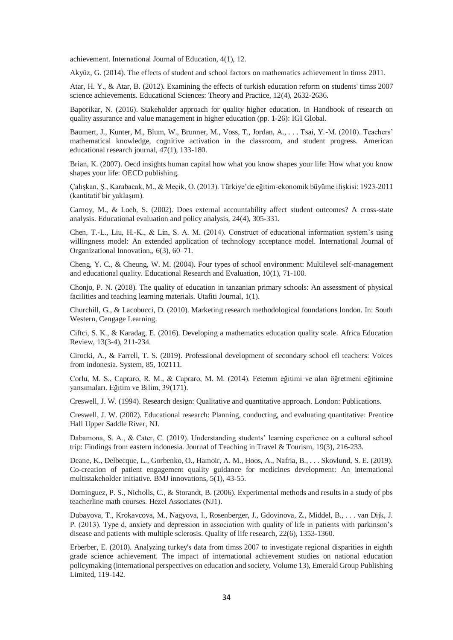achievement. International Journal of Education, 4(1), 12.

<span id="page-9-6"></span>Akyüz, G. (2014). The effects of student and school factors on mathematics achievement in timss 2011.

<span id="page-9-3"></span>Atar, H. Y., & Atar, B. (2012). Examining the effects of turkish education reform on students' timss 2007 science achievements. Educational Sciences: Theory and Practice, 12(4), 2632-2636.

<span id="page-9-10"></span>Baporikar, N. (2016). Stakeholder approach for quality higher education. In Handbook of research on quality assurance and value management in higher education (pp. 1-26): IGI Global.

<span id="page-9-15"></span>Baumert, J., Kunter, M., Blum, W., Brunner, M., Voss, T., Jordan, A., . . . Tsai, Y.-M. (2010). Teachers' mathematical knowledge, cognitive activation in the classroom, and student progress. American educational research journal, 47(1), 133-180.

<span id="page-9-0"></span>Brian, K. (2007). Oecd insights human capital how what you know shapes your life: How what you know shapes your life: OECD publishing.

<span id="page-9-4"></span>Çalışkan, Ş., Karabacak, M., & Meçik, O. (2013). Türkiye'de eğitim-ekonomik büyüme ilişkisi: 1923-2011 (kantitatif bir yaklaşım).

<span id="page-9-1"></span>Carnoy, M., & Loeb, S. (2002). Does external accountability affect student outcomes? A cross-state analysis. Educational evaluation and policy analysis, 24(4), 305-331.

<span id="page-9-2"></span>Chen, T.-L., Liu, H.-K., & Lin, S. A. M. (2014). Construct of educational information system's using willingness model: An extended application of technology acceptance model. International Journal of Organizational Innovation,, 6(3), 60–71.

<span id="page-9-8"></span>Cheng, Y. C., & Cheung, W. M. (2004). Four types of school environment: Multilevel self-management and educational quality. Educational Research and Evaluation, 10(1), 71-100.

<span id="page-9-11"></span>Chonjo, P. N. (2018). The quality of education in tanzanian primary schools: An assessment of physical facilities and teaching learning materials. Utafiti Journal, 1(1).

<span id="page-9-18"></span>Churchill, G., & Lacobucci, D. (2010). Marketing research methodological foundations london. In: South Western, Cengage Learning.

<span id="page-9-9"></span>Ciftci, S. K., & Karadag, E. (2016). Developing a mathematics education quality scale. Africa Education Review, 13(3-4), 211-234.

<span id="page-9-14"></span>Cirocki, A., & Farrell, T. S. (2019). Professional development of secondary school efl teachers: Voices from indonesia. System, 85, 102111.

<span id="page-9-5"></span>Corlu, M. S., Capraro, R. M., & Capraro, M. M. (2014). Fetemm eğitimi ve alan öğretmeni eğitimine yansımaları. Eğitim ve Bilim, 39(171).

<span id="page-9-19"></span>Creswell, J. W. (1994). Research design: Qualitative and quantitative approach. London: Publications.

<span id="page-9-17"></span>Creswell, J. W. (2002). Educational research: Planning, conducting, and evaluating quantitative: Prentice Hall Upper Saddle River, NJ.

<span id="page-9-13"></span>Dabamona, S. A., & Cater, C. (2019). Understanding students' learning experience on a cultural school trip: Findings from eastern indonesia. Journal of Teaching in Travel & Tourism, 19(3), 216-233.

<span id="page-9-16"></span>Deane, K., Delbecque, L., Gorbenko, O., Hamoir, A. M., Hoos, A., Nafria, B., . . . Skovlund, S. E. (2019). Co-creation of patient engagement quality guidance for medicines development: An international multistakeholder initiative. BMJ innovations, 5(1), 43-55.

<span id="page-9-12"></span>Dominguez, P. S., Nicholls, C., & Storandt, B. (2006). Experimental methods and results in a study of pbs teacherline math courses. Hezel Associates (NJ1).

<span id="page-9-20"></span>Dubayova, T., Krokavcova, M., Nagyova, I., Rosenberger, J., Gdovinova, Z., Middel, B., . . . van Dijk, J. P. (2013). Type d, anxiety and depression in association with quality of life in patients with parkinson's disease and patients with multiple sclerosis. Quality of life research, 22(6), 1353-1360.

<span id="page-9-7"></span>Erberber, E. (2010). Analyzing turkey's data from timss 2007 to investigate regional disparities in eighth grade science achievement. The impact of international achievement studies on national education policymaking (international perspectives on education and society, Volume 13), Emerald Group Publishing Limited, 119-142.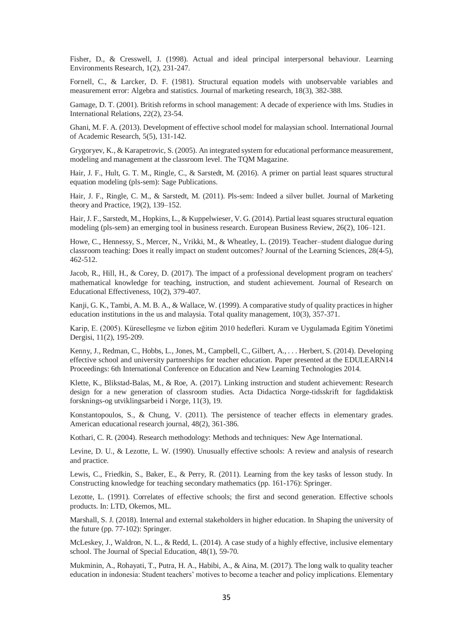<span id="page-10-4"></span>Fisher, D., & Cresswell, J. (1998). Actual and ideal principal interpersonal behaviour. Learning Environments Research, 1(2), 231-247.

<span id="page-10-21"></span>Fornell, C., & Larcker, D. F. (1981). Structural equation models with unobservable variables and measurement error: Algebra and statistics. Journal of marketing research, 18(3), 382-388.

<span id="page-10-5"></span>Gamage, D. T. (2001). British reforms in school management: A decade of experience with lms. Studies in International Relations, 22(2), 23-54.

<span id="page-10-6"></span>Ghani, M. F. A. (2013). Development of effective school model for malaysian school. International Journal of Academic Research, 5(5), 131-142.

<span id="page-10-1"></span>Grygoryev, K., & Karapetrovic, S. (2005). An integrated system for educational performance measurement, modeling and management at the classroom level. The TQM Magazine.

<span id="page-10-18"></span>Hair, J. F., Hult, G. T. M., Ringle, C., & Sarstedt, M. (2016). A primer on partial least squares structural equation modeling (pls-sem): Sage Publications.

<span id="page-10-19"></span>Hair, J. F., Ringle, C. M., & Sarstedt, M. (2011). Pls-sem: Indeed a silver bullet. Journal of Marketing theory and Practice, 19(2), 139–152.

<span id="page-10-20"></span>Hair, J. F., Sarstedt, M., Hopkins, L., & Kuppelwieser, V. G. (2014). Partial least squares structural equation modeling (pls-sem) an emerging tool in business research. European Business Review, 26(2), 106–121.

<span id="page-10-16"></span>Howe, C., Hennessy, S., Mercer, N., Vrikki, M., & Wheatley, L. (2019). Teacher–student dialogue during classroom teaching: Does it really impact on student outcomes? Journal of the Learning Sciences, 28(4-5), 462-512.

<span id="page-10-13"></span>Jacob, R., Hill, H., & Corey, D. (2017). The impact of a professional development program on teachers' mathematical knowledge for teaching, instruction, and student achievement. Journal of Research on Educational Effectiveness, 10(2), 379-407.

<span id="page-10-11"></span>Kanji, G. K., Tambi, A. M. B. A., & Wallace, W. (1999). A comparative study of quality practices in higher education institutions in the us and malaysia. Total quality management, 10(3), 357-371.

<span id="page-10-2"></span>Karip, E. (2005). Küreselleşme ve lizbon eğitim 2010 hedefleri. Kuram ve Uygulamada Egitim Yönetimi Dergisi, 11(2), 195-209.

<span id="page-10-7"></span>Kenny, J., Redman, C., Hobbs, L., Jones, M., Campbell, C., Gilbert, A., . . . Herbert, S. (2014). Developing effective school and university partnerships for teacher education. Paper presented at the EDULEARN14 Proceedings: 6th International Conference on Education and New Learning Technologies 2014.

<span id="page-10-0"></span>Klette, K., Blikstad-Balas, M., & Roe, A. (2017). Linking instruction and student achievement: Research design for a new generation of classroom studies. Acta Didactica Norge-tidsskrift for fagdidaktisk forsknings-og utviklingsarbeid i Norge, 11(3), 19.

<span id="page-10-15"></span>Konstantopoulos, S., & Chung, V. (2011). The persistence of teacher effects in elementary grades. American educational research journal, 48(2), 361-386.

<span id="page-10-17"></span>Kothari, C. R. (2004). Research methodology: Methods and techniques: New Age International.

<span id="page-10-8"></span>Levine, D. U., & Lezotte, L. W. (1990). Unusually effective schools: A review and analysis of research and practice.

<span id="page-10-14"></span>Lewis, C., Friedkin, S., Baker, E., & Perry, R. (2011). Learning from the key tasks of lesson study. In Constructing knowledge for teaching secondary mathematics (pp. 161-176): Springer.

<span id="page-10-3"></span>Lezotte, L. (1991). Correlates of effective schools; the first and second generation. Effective schools products. In: LTD, Okemos, ML.

<span id="page-10-10"></span>Marshall, S. J. (2018). Internal and external stakeholders in higher education. In Shaping the university of the future (pp. 77-102): Springer.

<span id="page-10-9"></span>McLeskey, J., Waldron, N. L., & Redd, L. (2014). A case study of a highly effective, inclusive elementary school. The Journal of Special Education, 48(1), 59-70.

<span id="page-10-12"></span>Mukminin, A., Rohayati, T., Putra, H. A., Habibi, A., & Aina, M. (2017). The long walk to quality teacher education in indonesia: Student teachers' motives to become a teacher and policy implications. Elementary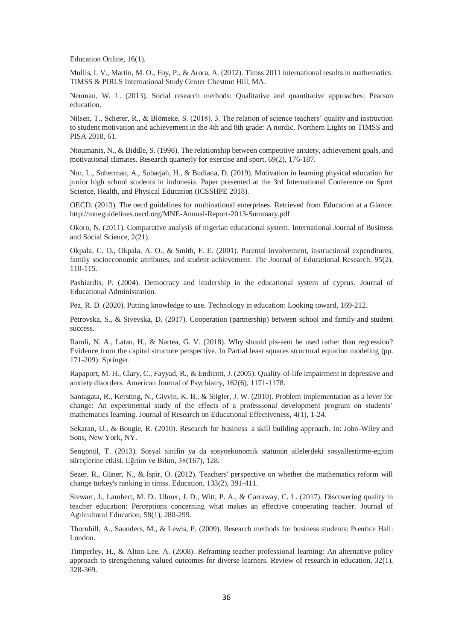Education Online, 16(1).

<span id="page-11-3"></span>Mullis, I. V., Martin, M. O., Foy, P., & Arora, A. (2012). Timss 2011 international results in mathematics: TIMSS & PIRLS International Study Center Chestnut Hill, MA.

<span id="page-11-14"></span>Neuman, W. L. (2013). Social research methods: Qualitative and quantitative approaches: Pearson education.

<span id="page-11-11"></span>Nilsen, T., Scherer, R., & Blömeke, S. (2018). 3. The relation of science teachers' quality and instruction to student motivation and achievement in the 4th and 8th grade: A nordic. Northern Lights on TIMSS and PISA 2018, 61.

<span id="page-11-19"></span>Ntoumanis, N., & Biddle, S. (1998). The relationship between competitive anxiety, achievement goals, and motivational climates. Research quarterly for exercise and sport, 69(2), 176-187.

<span id="page-11-9"></span>Nur, L., Suherman, A., Subarjah, H., & Budiana, D. (2019). Motivation in learning physical education for junior high school students in indonesia. Paper presented at the 3rd International Conference on Sport Science, Health, and Physical Education (ICSSHPE 2018).

<span id="page-11-4"></span>OECD. (2013). The oecd guidelines for multinational enterprises. Retrieved from Education at a Glance: <http://mneguidelines.oecd.org/MNE-Annual-Report-2013-Summary.pdf>

<span id="page-11-0"></span>Okoro, N. (2011). Comparative analysis of nigerian educational system. International Journal of Business and Social Science, 2(21).

<span id="page-11-6"></span>Okpala, C. O., Okpala, A. O., & Smith, F. E. (2001). Parental involvement, instructional expenditures, family socioeconomic attributes, and student achievement. The Journal of Educational Research, 95(2), 110-115.

<span id="page-11-1"></span>Pashiardis, P. (2004). Democracy and leadership in the educational system of cyprus. Journal of Educational Administration.

<span id="page-11-7"></span>Pea, R. D. (2020). Putting knowledge to use. Technology in education: Looking toward, 169-212.

<span id="page-11-13"></span>Petrovska, S., & Sivevska, D. (2017). Cooperation (partnership) between school and family and student success.

<span id="page-11-17"></span>Ramli, N. A., Latan, H., & Nartea, G. V. (2018). Why should pls-sem be used rather than regression? Evidence from the capital structure perspective. In Partial least squares structural equation modeling (pp. 171-209): Springer.

<span id="page-11-18"></span>Rapaport, M. H., Clary, C., Fayyad, R., & Endicott, J. (2005). Quality-of-life impairment in depressive and anxiety disorders. American Journal of Psychiatry, 162(6), 1171-1178.

<span id="page-11-8"></span>Santagata, R., Kersting, N., Givvin, K. B., & Stigler, J. W. (2010). Problem implementation as a lever for change: An experimental study of the effects of a professional development program on students' mathematics learning. Journal of Research on Educational Effectiveness, 4(1), 1-24.

<span id="page-11-15"></span>Sekaran, U., & Bougie, R. (2010). Research for business–a skill building approach. In: John-Wiley and Sons, New York, NY.

<span id="page-11-2"></span>Sengönül, T. (2013). Sosyal sinifin ya da sosyoekonomik statünün ailelerdeki sosyallestirme-egitim süreçlerine etkisi. Eğitim ve Bilim, 38(167), 128.

<span id="page-11-5"></span>Sezer, R., Güner, N., & Ispir, O. (2012). Teachers' perspective on whether the mathematics reform will change turkey's ranking in timss. Education, 133(2), 391-411.

<span id="page-11-12"></span>Stewart, J., Lambert, M. D., Ulmer, J. D., Witt, P. A., & Carraway, C. L. (2017). Discovering quality in teacher education: Perceptions concerning what makes an effective cooperating teacher. Journal of Agricultural Education, 58(1), 280-299.

<span id="page-11-16"></span>Thornhill, A., Saunders, M., & Lewis, P. (2009). Research methods for business students: Prentice Hall: London.

<span id="page-11-10"></span>Timperley, H., & Alton-Lee, A. (2008). Reframing teacher professional learning: An alternative policy approach to strengthening valued outcomes for diverse learners. Review of research in education, 32(1), 328-369.